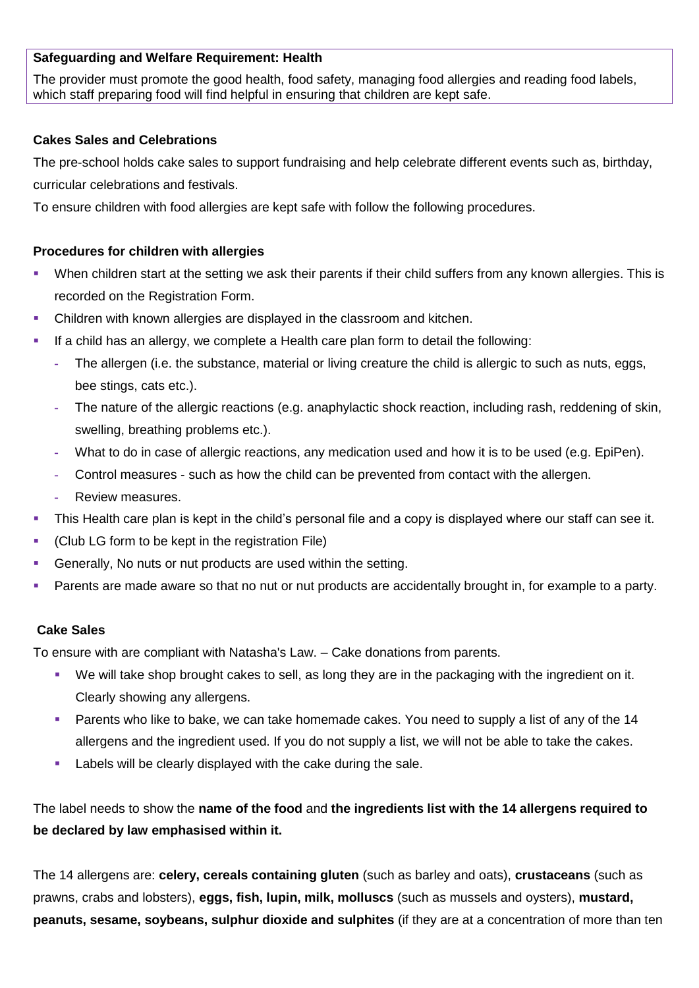## **Safeguarding and Welfare Requirement: Health**

The provider must promote the good health, food safety, managing food allergies and reading food labels, which staff preparing food will find helpful in ensuring that children are kept safe.

#### **Cakes Sales and Celebrations**

The pre-school holds cake sales to support fundraising and help celebrate different events such as, birthday, curricular celebrations and festivals.

To ensure children with food allergies are kept safe with follow the following procedures.

### **Procedures for children with allergies**

- When children start at the setting we ask their parents if their child suffers from any known allergies. This is recorded on the Registration Form.
- Children with known allergies are displayed in the classroom and kitchen.
- If a child has an allergy, we complete a Health care plan form to detail the following:
	- **-** The allergen (i.e. the substance, material or living creature the child is allergic to such as nuts, eggs, bee stings, cats etc.).
	- **-** The nature of the allergic reactions (e.g. anaphylactic shock reaction, including rash, reddening of skin, swelling, breathing problems etc.).
	- **-** What to do in case of allergic reactions, any medication used and how it is to be used (e.g. EpiPen).
	- **-** Control measures such as how the child can be prevented from contact with the allergen.
	- **-** Review measures.
- This Health care plan is kept in the child's personal file and a copy is displayed where our staff can see it.
- (Club LG form to be kept in the registration File)
- Generally, No nuts or nut products are used within the setting.
- Parents are made aware so that no nut or nut products are accidentally brought in, for example to a party.

#### **Cake Sales**

To ensure with are compliant with Natasha's Law. – Cake donations from parents.

- We will take shop brought cakes to sell, as long they are in the packaging with the ingredient on it. Clearly showing any allergens.
- **Parents who like to bake, we can take homemade cakes. You need to supply a list of any of the 14** allergens and the ingredient used. If you do not supply a list, we will not be able to take the cakes.
- Labels will be clearly displayed with the cake during the sale.

The label needs to show the **name of the food** and **the ingredients list with the 14 allergens required to be declared by law emphasised within it.**

The 14 allergens are: **celery, cereals containing gluten** (such as barley and oats), **crustaceans** (such as prawns, crabs and lobsters), **eggs, fish, lupin, milk, molluscs** (such as mussels and oysters), **mustard, peanuts, sesame, soybeans, sulphur dioxide and sulphites** (if they are at a concentration of more than ten